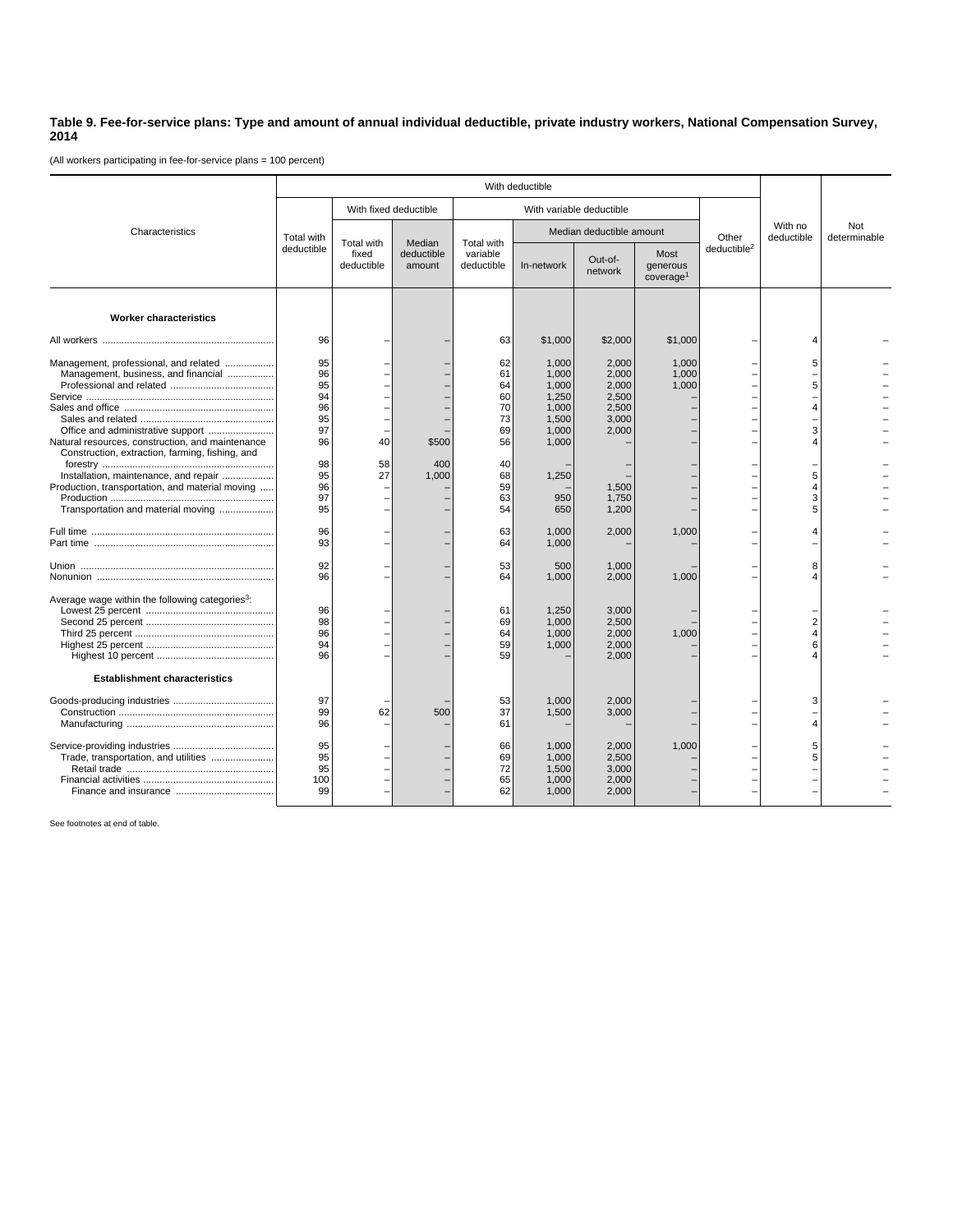## **Table 9. Fee-for-service plans: Type and amount of annual individual deductible, private industry workers, National Compensation Survey, 2014**

(All workers participating in fee-for-service plans = 100 percent)

|                                                                                                                                             | With deductible             |                                   |                                |                                      |                                           |                                           |                                           |                         |                               |                     |
|---------------------------------------------------------------------------------------------------------------------------------------------|-----------------------------|-----------------------------------|--------------------------------|--------------------------------------|-------------------------------------------|-------------------------------------------|-------------------------------------------|-------------------------|-------------------------------|---------------------|
| Characteristics                                                                                                                             |                             | With fixed deductible             |                                | With variable deductible             |                                           |                                           |                                           |                         |                               |                     |
|                                                                                                                                             | Total with<br>deductible    | Total with<br>fixed<br>deductible | Median<br>deductible<br>amount | Total with<br>variable<br>deductible | Median deductible amount                  |                                           |                                           | Other                   | With no<br>deductible         | Not<br>determinable |
|                                                                                                                                             |                             |                                   |                                |                                      | In-network                                | Out-of-<br>network                        | Most<br>generous<br>coverage <sup>1</sup> | deductible <sup>2</sup> |                               |                     |
| <b>Worker characteristics</b>                                                                                                               |                             |                                   |                                |                                      |                                           |                                           |                                           |                         |                               |                     |
|                                                                                                                                             | 96                          |                                   |                                | 63                                   | \$1,000                                   | \$2,000                                   | \$1,000                                   |                         | 4                             |                     |
| Management, professional, and related<br>Management, business, and financial                                                                | 95<br>96<br>95<br>94        |                                   |                                | 62<br>61<br>64<br>60                 | 1,000<br>1,000<br>1,000<br>1,250          | 2,000<br>2,000<br>2,000<br>2,500          | 1,000<br>1,000<br>1,000                   |                         | 5<br>5                        |                     |
| Office and administrative support<br>Natural resources, construction, and maintenance                                                       | 96<br>95<br>97<br>96        | 40                                | \$500                          | 70<br>73<br>69<br>56                 | 1.000<br>1,500<br>1,000<br>1,000          | 2.500<br>3,000<br>2,000                   |                                           |                         | 4<br>3<br>4                   |                     |
| Construction, extraction, farming, fishing, and<br>Installation, maintenance, and repair<br>Production, transportation, and material moving | 98<br>95<br>96<br>97        | 58<br>27                          | 400<br>1,000                   | 40<br>68<br>59<br>63                 | 1,250<br>950                              | 1.500<br>1,750                            |                                           |                         | 5<br>4<br>3<br>5              |                     |
| Transportation and material moving                                                                                                          | 95<br>96<br>93              |                                   |                                | 54<br>63<br>64                       | 650<br>1,000<br>1,000                     | 1,200<br>2,000                            | 1,000                                     |                         | 4                             |                     |
|                                                                                                                                             | 92<br>96                    |                                   |                                | 53<br>64                             | 500<br>1,000                              | 1,000<br>2,000                            | 1,000                                     |                         | 8<br>4                        |                     |
| Average wage within the following categories <sup>3</sup> :                                                                                 | 96<br>98<br>96<br>94<br>96  |                                   |                                | 61<br>69<br>64<br>59<br>59           | 1,250<br>1,000<br>1,000<br>1,000          | 3,000<br>2,500<br>2,000<br>2,000<br>2,000 | 1,000                                     |                         | $\overline{2}$<br>4<br>6<br>4 |                     |
| <b>Establishment characteristics</b>                                                                                                        |                             |                                   |                                |                                      |                                           |                                           |                                           |                         |                               |                     |
|                                                                                                                                             | 97<br>99<br>96              | 62                                | 500                            | 53<br>37<br>61                       | 1,000<br>1,500                            | 2,000<br>3,000                            |                                           |                         | 3<br>4                        |                     |
| Trade, transportation, and utilities                                                                                                        | 95<br>95<br>95<br>100<br>99 |                                   |                                | 66<br>69<br>72<br>65<br>62           | 1,000<br>1,000<br>1,500<br>1,000<br>1,000 | 2,000<br>2,500<br>3,000<br>2,000<br>2,000 | 1,000                                     |                         | 5<br>5                        |                     |

See footnotes at end of table.